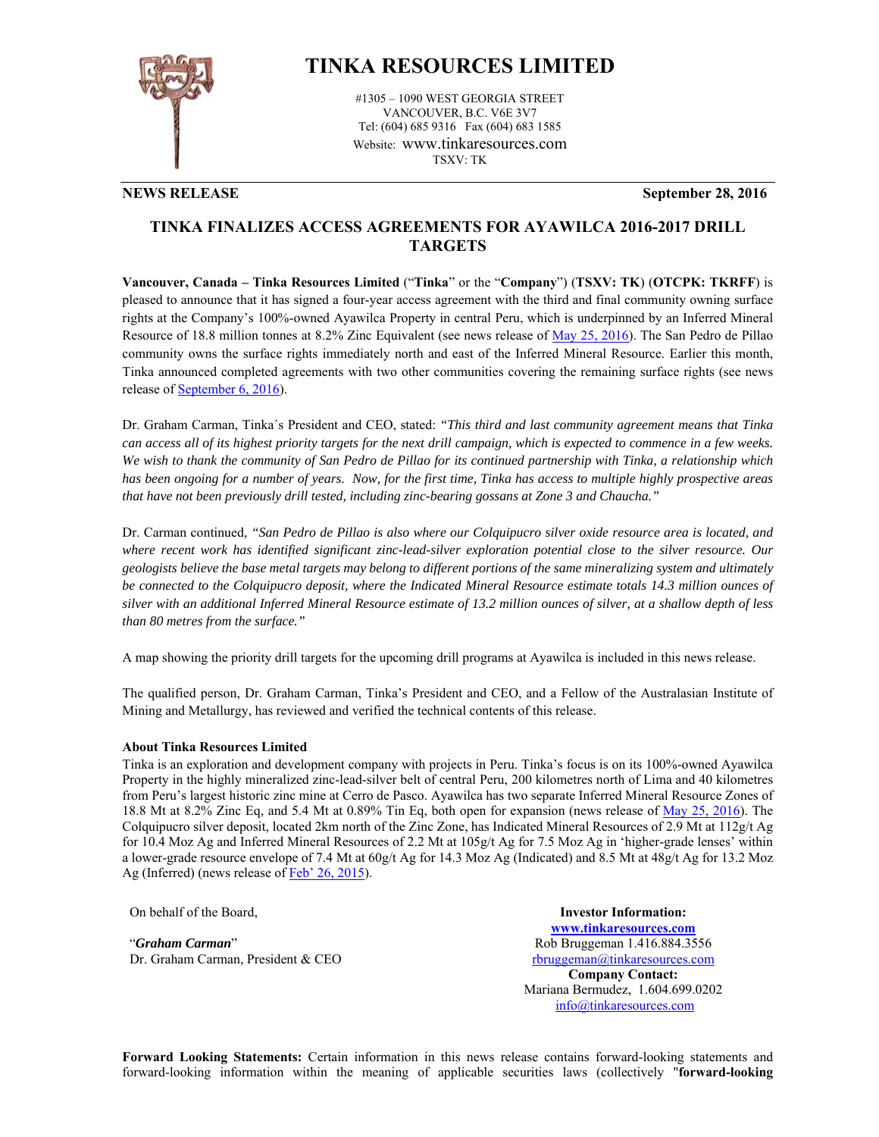

## **TINKA RESOURCES LIMITED**

#1305 – 1090 WEST GEORGIA STREET VANCOUVER, B.C. V6E 3V7 Tel: (604) 685 9316 Fax (604) 683 1585 Website: www.tinkaresources.com TSXV: TK

**NEWS RELEASE September 28, 2016** 

## **TINKA FINALIZES ACCESS AGREEMENTS FOR AYAWILCA 2016-2017 DRILL TARGETS**

**Vancouver, Canada – Tinka Resources Limited** ("**Tinka**" or the "**Company**") (**TSXV: TK**) (**OTCPK: TKRFF**) is pleased to announce that it has signed a four-year access agreement with the third and final community owning surface rights at the Company's 100%-owned Ayawilca Property in central Peru, which is underpinned by an Inferred Mineral Resource of 18.8 million tonnes at 8.2% Zinc Equivalent (see news release of May 25, 2016). The San Pedro de Pillao community owns the surface rights immediately north and east of the Inferred Mineral Resource. Earlier this month, Tinka announced completed agreements with two other communities covering the remaining surface rights (see news release of **September** 6, 2016).

Dr. Graham Carman, Tinka´s President and CEO, stated: *"This third and last community agreement means that Tinka can access all of its highest priority targets for the next drill campaign, which is expected to commence in a few weeks. We wish to thank the community of San Pedro de Pillao for its continued partnership with Tinka, a relationship which has been ongoing for a number of years. Now, for the first time, Tinka has access to multiple highly prospective areas that have not been previously drill tested, including zinc-bearing gossans at Zone 3 and Chaucha."* 

Dr. Carman continued*, "San Pedro de Pillao is also where our Colquipucro silver oxide resource area is located, and where recent work has identified significant zinc-lead-silver exploration potential close to the silver resource. Our geologists believe the base metal targets may belong to different portions of the same mineralizing system and ultimately be connected to the Colquipucro deposit, where the Indicated Mineral Resource estimate totals 14.3 million ounces of silver with an additional Inferred Mineral Resource estimate of 13.2 million ounces of silver, at a shallow depth of less than 80 metres from the surface."* 

A map showing the priority drill targets for the upcoming drill programs at Ayawilca is included in this news release.

The qualified person, Dr. Graham Carman, Tinka's President and CEO, and a Fellow of the Australasian Institute of Mining and Metallurgy, has reviewed and verified the technical contents of this release.

## **About Tinka Resources Limited**

Tinka is an exploration and development company with projects in Peru. Tinka's focus is on its 100%-owned Ayawilca Property in the highly mineralized zinc-lead-silver belt of central Peru, 200 kilometres north of Lima and 40 kilometres from Peru's largest historic zinc mine at Cerro de Pasco. Ayawilca has two separate Inferred Mineral Resource Zones of 18.8 Mt at 8.2% Zinc Eq, and 5.4 Mt at 0.89% Tin Eq, both open for expansion (news release of May 25, 2016). The Colquipucro silver deposit, located 2km north of the Zinc Zone, has Indicated Mineral Resources of 2.9 Mt at 112g/t Ag for 10.4 Moz Ag and Inferred Mineral Resources of 2.2 Mt at 105g/t Ag for 7.5 Moz Ag in 'higher-grade lenses' within a lower-grade resource envelope of 7.4 Mt at 60g/t Ag for 14.3 Moz Ag (Indicated) and 8.5 Mt at 48g/t Ag for 13.2 Moz Ag (Inferred) (news release of Feb<sup>3</sup> 26, 2015).

On behalf of the Board,

"*Graham Carman*" Dr. Graham Carman, President & CEO

**Investor Information: www.tinkaresources.com** Rob Bruggeman 1.416.884.3556 rbruggeman@tinkaresources.com **Company Contact:** Mariana Bermudez, 1.604.699.0202 info@tinkaresources.com

**Forward Looking Statements:** Certain information in this news release contains forward-looking statements and forward-looking information within the meaning of applicable securities laws (collectively "**forward-looking**